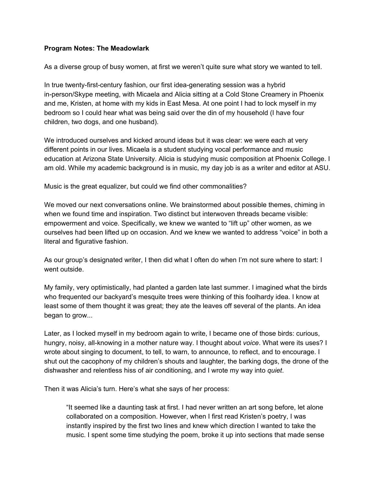## **Program Notes: The Meadowlark**

As a diverse group of busy women, at first we weren't quite sure what story we wanted to tell.

In true twenty-first-century fashion, our first idea-generating session was a hybrid in-person/Skype meeting, with Micaela and Alicia sitting at a Cold Stone Creamery in Phoenix and me, Kristen, at home with my kids in East Mesa. At one point I had to lock myself in my bedroom so I could hear what was being said over the din of my household (I have four children, two dogs, and one husband).

We introduced ourselves and kicked around ideas but it was clear: we were each at very different points in our lives. Micaela is a student studying vocal performance and music education at Arizona State University. Alicia is studying music composition at Phoenix College. I am old. While my academic background is in music, my day job is as a writer and editor at ASU.

Music is the great equalizer, but could we find other commonalities?

We moved our next conversations online. We brainstormed about possible themes, chiming in when we found time and inspiration. Two distinct but interwoven threads became visible: empowerment and voice. Specifically, we knew we wanted to "lift up" other women, as we ourselves had been lifted up on occasion. And we knew we wanted to address "voice" in both a literal and figurative fashion.

As our group's designated writer, I then did what I often do when I'm not sure where to start: I went outside.

My family, very optimistically, had planted a garden late last summer. I imagined what the birds who frequented our backyard's mesquite trees were thinking of this foolhardy idea. I know at least some of them thought it was great; they ate the leaves off several of the plants. An idea began to grow...

Later, as I locked myself in my bedroom again to write, I became one of those birds: curious, hungry, noisy, all-knowing in a mother nature way. I thought about *voice*. What were its uses? I wrote about singing to document, to tell, to warn, to announce, to reflect, and to encourage. I shut out the cacophony of my children's shouts and laughter, the barking dogs, the drone of the dishwasher and relentless hiss of air conditioning, and I wrote my way into *quiet*.

Then it was Alicia's turn. Here's what she says of her process:

"It seemed like a daunting task at first. I had never written an art song before, let alone collaborated on a composition. However, when I first read Kristen's poetry, I was instantly inspired by the first two lines and knew which direction I wanted to take the music. I spent some time studying the poem, broke it up into sections that made sense